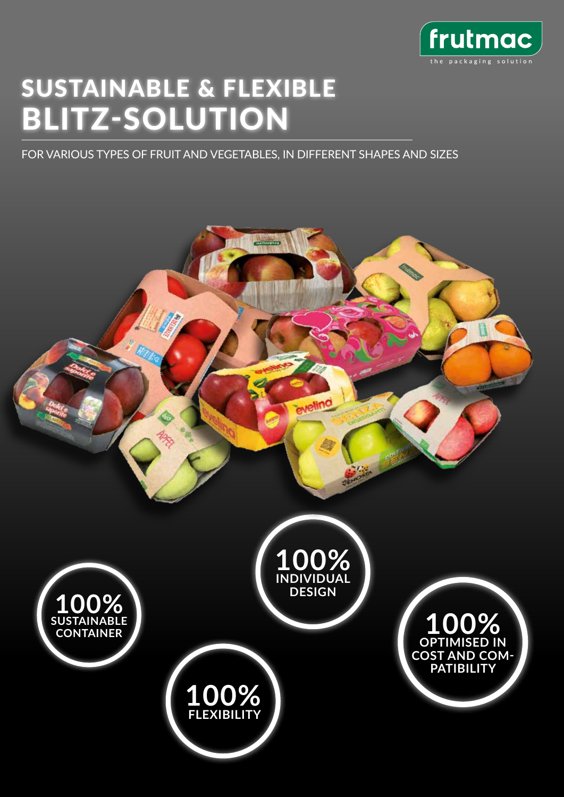

## SUSTAINABLE & FLEXIBLE BLITZ-SOLUTION

FOR VARIOUS TYPES OF FRUIT AND VEGETABLES, IN DIFFERENT SHAPES AND SIZES